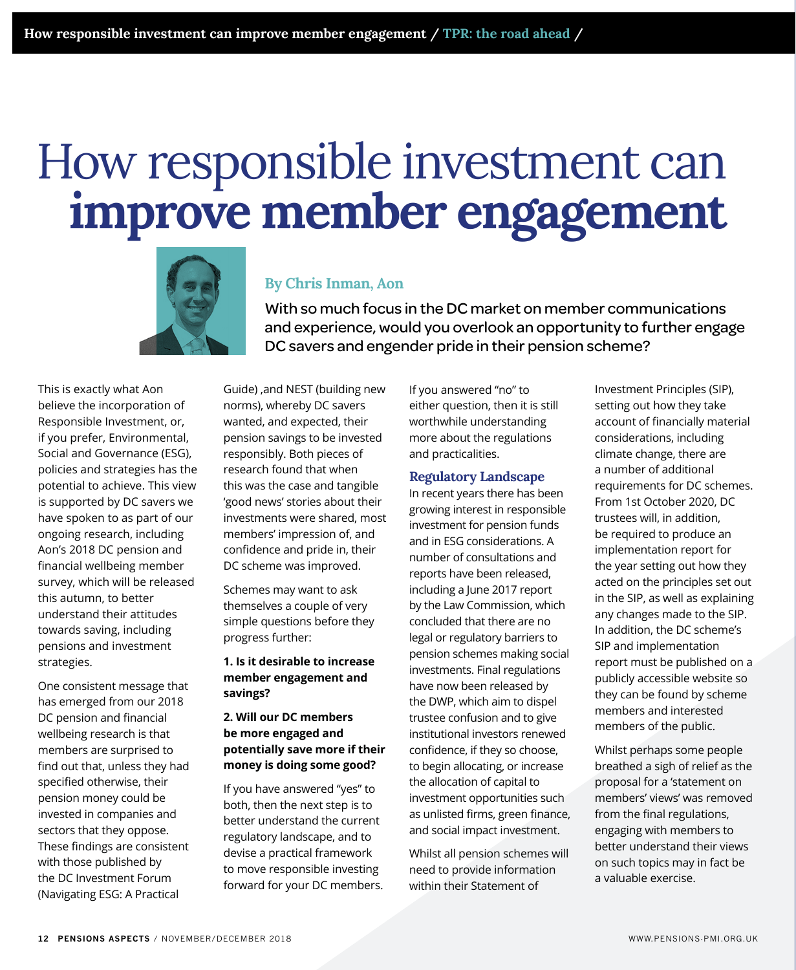# How responsible investment can **improve member engagement**



## **By Chris Inman, Aon**

With so much focus in the DC market on member communications and experience, would you overlook an opportunity to further engage DC savers and engender pride in their pension scheme?

This is exactly what Aon believe the incorporation of Responsible Investment, or, if you prefer, Environmental, Social and Governance (ESG), policies and strategies has the potential to achieve. This view is supported by DC savers we have spoken to as part of our ongoing research, including Aon's 2018 DC pension and financial wellbeing member survey, which will be released this autumn, to better understand their attitudes towards saving, including pensions and investment strategies.

One consistent message that has emerged from our 2018 DC pension and financial wellbeing research is that members are surprised to find out that, unless they had specified otherwise, their pension money could be invested in companies and sectors that they oppose. These findings are consistent with those published by the DC Investment Forum (Navigating ESG: A Practical

Guide) ,and NEST (building new norms), whereby DC savers wanted, and expected, their pension savings to be invested responsibly. Both pieces of research found that when this was the case and tangible 'good news' stories about their investments were shared, most members' impression of, and confidence and pride in, their DC scheme was improved.

Schemes may want to ask themselves a couple of very simple questions before they progress further:

**1. Is it desirable to increase member engagement and savings?**

#### **2. Will our DC members be more engaged and potentially save more if their money is doing some good?**

If you have answered "yes" to both, then the next step is to better understand the current regulatory landscape, and to devise a practical framework to move responsible investing forward for your DC members. If you answered "no" to either question, then it is still worthwhile understanding more about the regulations and practicalities.

#### **Regulatory Landscape**

In recent years there has been growing interest in responsible investment for pension funds and in ESG considerations. A number of consultations and reports have been released, including a June 2017 report by the Law Commission, which concluded that there are no legal or regulatory barriers to pension schemes making social investments. Final regulations have now been released by the DWP, which aim to dispel trustee confusion and to give institutional investors renewed confidence, if they so choose, to begin allocating, or increase the allocation of capital to investment opportunities such as unlisted firms, green finance, and social impact investment.

Whilst all pension schemes will need to provide information within their Statement of

Investment Principles (SIP), setting out how they take account of financially material considerations, including climate change, there are a number of additional requirements for DC schemes. From 1st October 2020, DC trustees will, in addition, be required to produce an implementation report for the year setting out how they acted on the principles set out in the SIP, as well as explaining any changes made to the SIP. In addition, the DC scheme's SIP and implementation report must be published on a publicly accessible website so they can be found by scheme members and interested members of the public.

Whilst perhaps some people breathed a sigh of relief as the proposal for a 'statement on members' views' was removed from the final regulations, engaging with members to better understand their views on such topics may in fact be a valuable exercise.